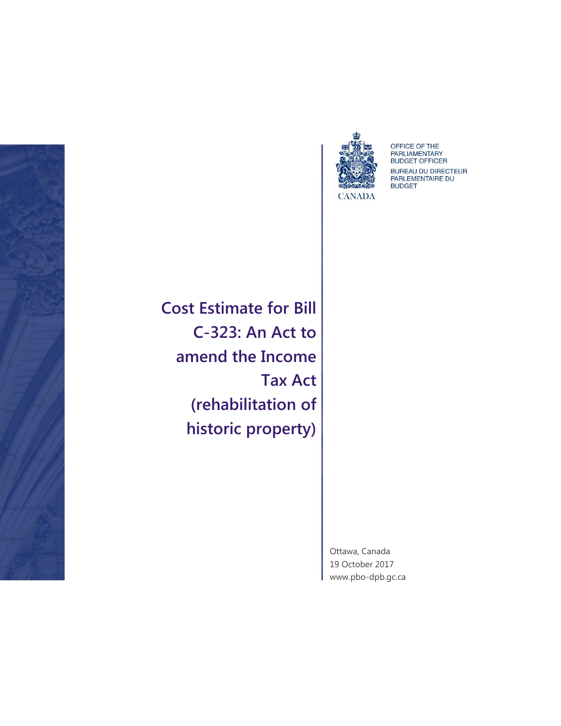



OFFICE OF THE<br>PARLIAMENTARY<br>BUDGET OFFICER BUREAU DU DIRECTEUR<br>PARLEMENTAIRE DU **BUDGET** 

**Cost Estimate for Bill C-323: An Act to amend the Income Tax Act (rehabilitation of historic property)**

> Ottawa, Canada 19 October 2017 [www.pbo-dpb.gc.ca](http://www.pbo-dpb.gc.ca/)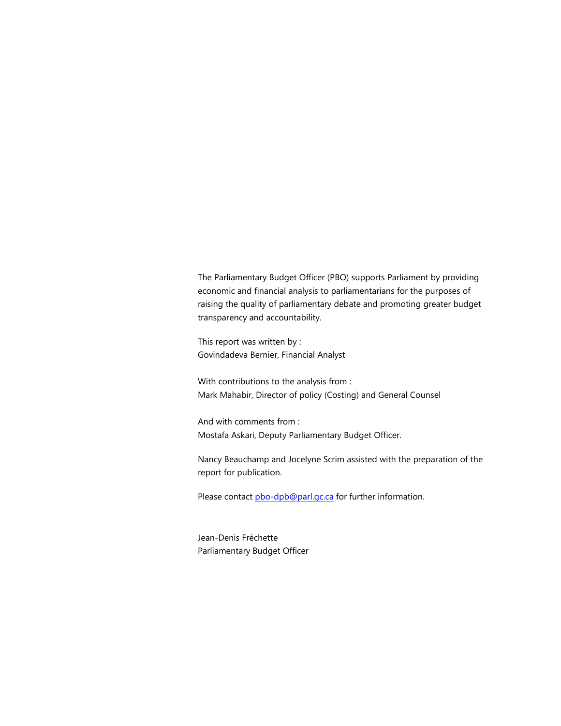The Parliamentary Budget Officer (PBO) supports Parliament by providing economic and financial analysis to parliamentarians for the purposes of raising the quality of parliamentary debate and promoting greater budget transparency and accountability.

This report was written by : Govindadeva Bernier, Financial Analyst

With contributions to the analysis from : Mark Mahabir, Director of policy (Costing) and General Counsel

And with comments from : Mostafa Askari, Deputy Parliamentary Budget Officer.

Nancy Beauchamp and Jocelyne Scrim assisted with the preparation of the report for publication.

Please contact [pbo-dpb@parl.gc.ca](mailto:pbo-dpb@parl.gc.ca) for further information.

Jean-Denis Fréchette Parliamentary Budget Officer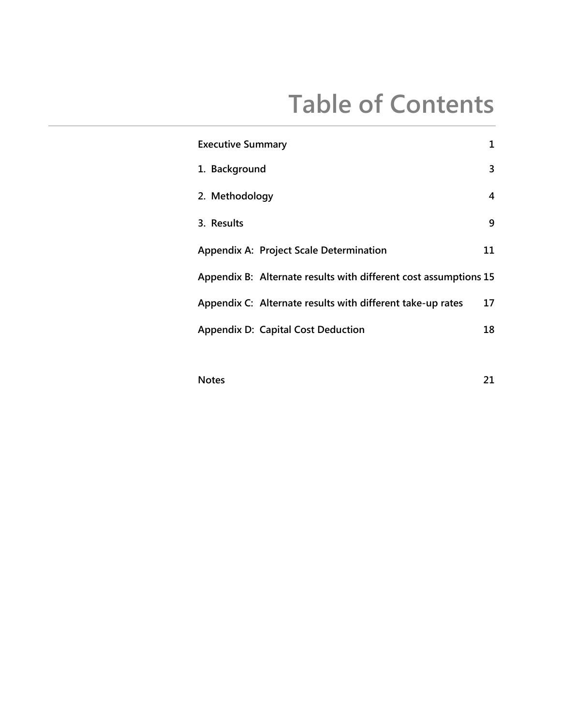## **Table of Contents**

| <b>Executive Summary</b>                                         | 1  |
|------------------------------------------------------------------|----|
| 1. Background                                                    | 3  |
| 2. Methodology                                                   | 4  |
| 3. Results                                                       | 9  |
| <b>Appendix A: Project Scale Determination</b>                   | 11 |
| Appendix B: Alternate results with different cost assumptions 15 |    |
| Appendix C: Alternate results with different take-up rates       | 17 |
| <b>Appendix D: Capital Cost Deduction</b>                        | 18 |

**[Notes](#page-23-0) 21**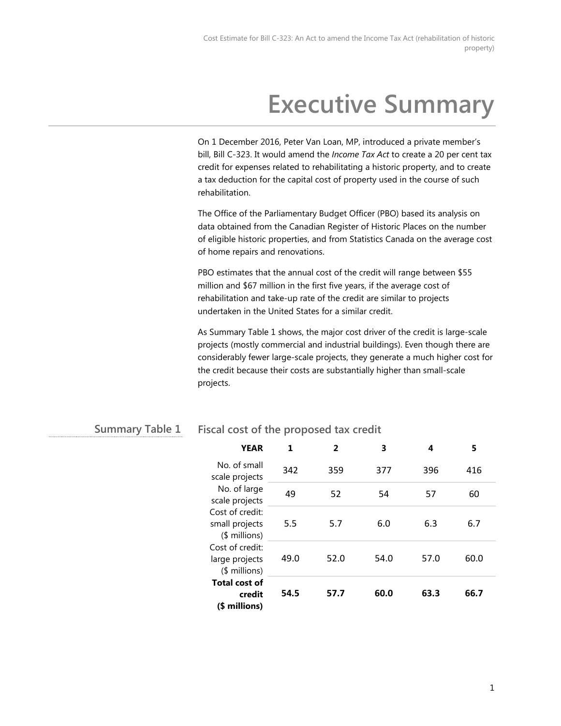## **Executive Summary**

On 1 December 2016, Peter Van Loan, MP, introduced a private member's bill, Bill C-323. It would amend the *Income Tax Act* to create a 20 per cent tax credit for expenses related to rehabilitating a historic property, and to create a tax deduction for the capital cost of property used in the course of such rehabilitation.

The Office of the Parliamentary Budget Officer (PBO) based its analysis on data obtained from the Canadian Register of Historic Places on the number of eligible historic properties, and from Statistics Canada on the average cost of home repairs and renovations.

PBO estimates that the annual cost of the credit will range between \$55 million and \$67 million in the first five years, if the average cost of rehabilitation and take-up rate of the credit are similar to projects undertaken in the United States for a similar credit.

As Summary Table 1 shows, the major cost driver of the credit is large-scale projects (mostly commercial and industrial buildings). Even though there are considerably fewer large-scale projects, they generate a much higher cost for the credit because their costs are substantially higher than small-scale projects.

#### **Fiscal cost of the proposed tax credit Summary Table 1**

| <b>YEAR</b>                                                                                              | 1    | 2    | 3    | 4    | 5    |
|----------------------------------------------------------------------------------------------------------|------|------|------|------|------|
| No. of small<br>scale projects                                                                           | 342  | 359  | 377  | 396  | 416  |
| No. of large<br>scale projects                                                                           | 49   | 52   | 54   | 57   | 60   |
| Cost of credit:<br>small projects<br>$$$ millions)<br>Cost of credit:<br>large projects<br>(\$ millions) | 5.5  | 5.7  | 6.0  | 6.3  | 6.7  |
|                                                                                                          | 49.0 | 52.0 | 54.0 | 57.0 | 60.0 |
| <b>Total cost of</b><br>credit<br>(\$ millions)                                                          | 54.5 | 57.7 | 60.0 | 63.3 | 66.7 |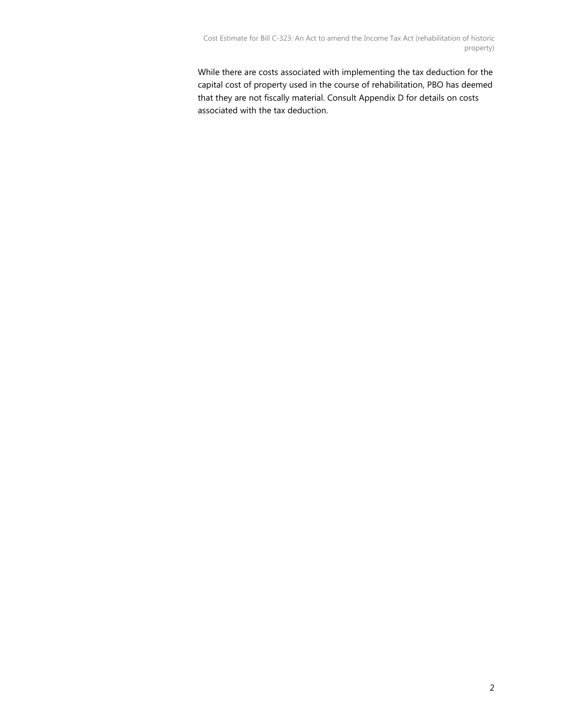While there are costs associated with implementing the tax deduction for the capital cost of property used in the course of rehabilitation, PBO has deemed that they are not fiscally material. Consult Appendix D for details on costs associated with the tax deduction.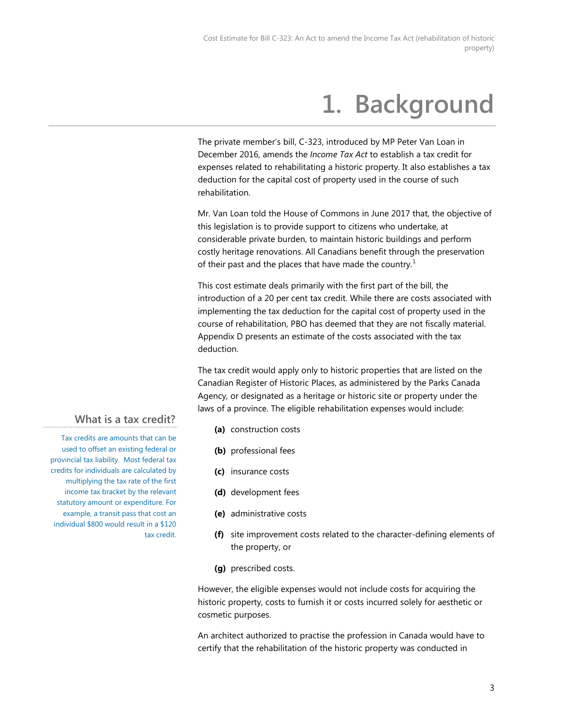# **1. Background**

<span id="page-5-0"></span>The private member's bill, C-323, introduced by MP Peter Van Loan in December 2016, amends the *Income Tax Act* to establish a tax credit for expenses related to rehabilitating a historic property. It also establishes a tax deduction for the capital cost of property used in the course of such rehabilitation.

Mr. Van Loan told the House of Commons in June 2017 that, the objective of this legislation is to provide support to citizens who undertake, at considerable private burden, to maintain historic buildings and perform costly heritage renovations. All Canadians benefit through the preservation of their past and the places that have made the country.<sup>[1](#page-24-0)</sup>

This cost estimate deals primarily with the first part of the bill, the introduction of a 20 per cent tax credit. While there are costs associated with implementing the tax deduction for the capital cost of property used in the course of rehabilitation, PBO has deemed that they are not fiscally material. Appendix D presents an estimate of the costs associated with the tax deduction.

The tax credit would apply only to historic properties that are listed on the Canadian Register of Historic Places, as administered by the Parks Canada Agency, or designated as a heritage or historic site or property under the laws of a province. The eligible rehabilitation expenses would include:

- **(a)** construction costs
- **(b)** professional fees
- **(c)** insurance costs
- **(d)** development fees
- **(e)** administrative costs
- **(f)** site improvement costs related to the character-defining elements of the property, or
- **(g)** prescribed costs.

However, the eligible expenses would not include costs for acquiring the historic property, costs to furnish it or costs incurred solely for aesthetic or cosmetic purposes.

An architect authorized to practise the profession in Canada would have to certify that the rehabilitation of the historic property was conducted in

### **What is a tax credit?**

Tax credits are amounts that can be used to offset an existing federal or provincial tax liability. Most federal tax credits for individuals are calculated by multiplying the tax rate of the first income tax bracket by the relevant statutory amount or expenditure. For example, a transit pass that cost an individual \$800 would result in a \$120 tax credit.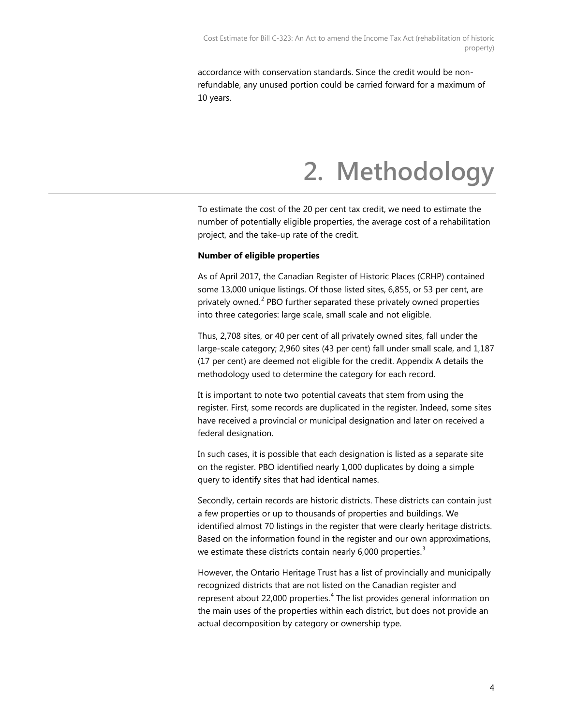<span id="page-6-0"></span>accordance with conservation standards. Since the credit would be nonrefundable, any unused portion could be carried forward for a maximum of 10 years.

### **2. Methodology**

To estimate the cost of the 20 per cent tax credit, we need to estimate the number of potentially eligible properties, the average cost of a rehabilitation project, and the take-up rate of the credit.

#### **Number of eligible properties**

As of April 2017, the Canadian Register of Historic Places (CRHP) contained some 13,000 unique listings. Of those listed sites, 6,855, or 53 per cent, are privately owned.<sup>[2](#page-24-1)</sup> PBO further separated these privately owned properties into three categories: large scale, small scale and not eligible.

Thus, 2,708 sites, or 40 per cent of all privately owned sites, fall under the large-scale category; 2,960 sites (43 per cent) fall under small scale, and 1,187 (17 per cent) are deemed not eligible for the credit. Appendix A details the methodology used to determine the category for each record.

It is important to note two potential caveats that stem from using the register. First, some records are duplicated in the register. Indeed, some sites have received a provincial or municipal designation and later on received a federal designation.

In such cases, it is possible that each designation is listed as a separate site on the register. PBO identified nearly 1,000 duplicates by doing a simple query to identify sites that had identical names.

Secondly, certain records are historic districts. These districts can contain just a few properties or up to thousands of properties and buildings. We identified almost 70 listings in the register that were clearly heritage districts. Based on the information found in the register and our own approximations, we estimate these districts contain nearly  $6,000$  properties.<sup>[3](#page-24-2)</sup>

However, the Ontario Heritage Trust has a list of provincially and municipally recognized districts that are not listed on the Canadian register and represent about 22,000 properties.<sup>[4](#page-24-3)</sup> The list provides general information on the main uses of the properties within each district, but does not provide an actual decomposition by category or ownership type.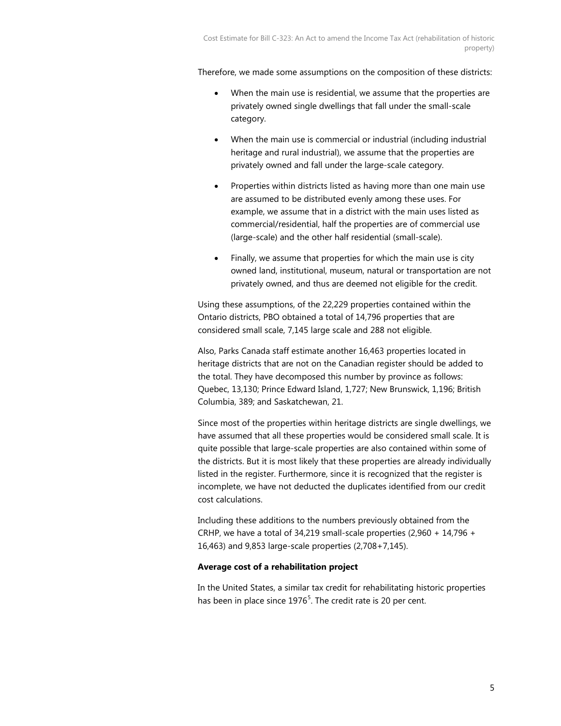Therefore, we made some assumptions on the composition of these districts:

- When the main use is residential, we assume that the properties are privately owned single dwellings that fall under the small-scale category.
- When the main use is commercial or industrial (including industrial heritage and rural industrial), we assume that the properties are privately owned and fall under the large-scale category.
- Properties within districts listed as having more than one main use are assumed to be distributed evenly among these uses. For example, we assume that in a district with the main uses listed as commercial/residential, half the properties are of commercial use (large-scale) and the other half residential (small-scale).
- Finally, we assume that properties for which the main use is city owned land, institutional, museum, natural or transportation are not privately owned, and thus are deemed not eligible for the credit.

Using these assumptions, of the 22,229 properties contained within the Ontario districts, PBO obtained a total of 14,796 properties that are considered small scale, 7,145 large scale and 288 not eligible.

Also, Parks Canada staff estimate another 16,463 properties located in heritage districts that are not on the Canadian register should be added to the total. They have decomposed this number by province as follows: Quebec, 13,130; Prince Edward Island, 1,727; New Brunswick, 1,196; British Columbia, 389; and Saskatchewan, 21.

Since most of the properties within heritage districts are single dwellings, we have assumed that all these properties would be considered small scale. It is quite possible that large-scale properties are also contained within some of the districts. But it is most likely that these properties are already individually listed in the register. Furthermore, since it is recognized that the register is incomplete, we have not deducted the duplicates identified from our credit cost calculations.

Including these additions to the numbers previously obtained from the CRHP, we have a total of 34,219 small-scale properties (2,960 + 14,796 + 16,463) and 9,853 large-scale properties (2,708+7,145).

### **Average cost of a rehabilitation project**

In the United States, a similar tax credit for rehabilitating historic properties has been in place since  $1976<sup>5</sup>$  $1976<sup>5</sup>$  $1976<sup>5</sup>$ . The credit rate is 20 per cent.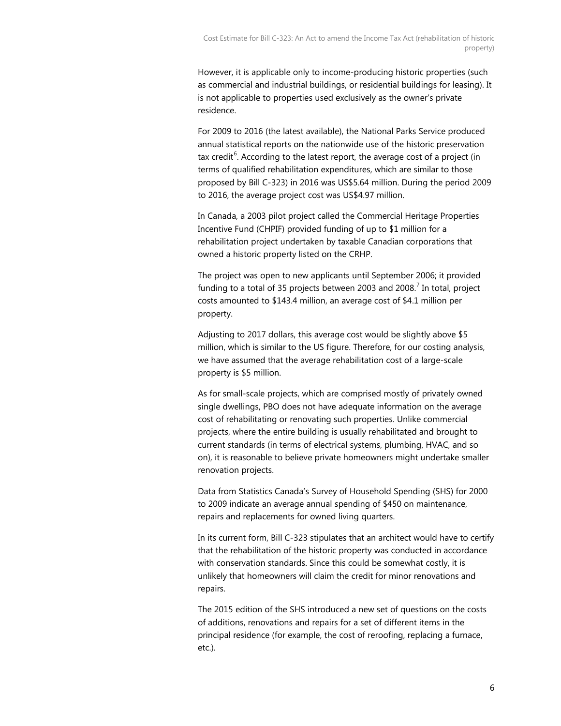However, it is applicable only to income-producing historic properties (such as commercial and industrial buildings, or residential buildings for leasing). It is not applicable to properties used exclusively as the owner's private residence.

For 2009 to 2016 (the latest available), the National Parks Service produced annual statistical reports on the nationwide use of the historic preservation tax credit<sup>[6](#page-24-5)</sup>. According to the latest report, the average cost of a project (in terms of qualified rehabilitation expenditures, which are similar to those proposed by Bill C-323) in 2016 was US\$5.64 million. During the period 2009 to 2016, the average project cost was US\$4.97 million.

In Canada, a 2003 pilot project called the Commercial Heritage Properties Incentive Fund (CHPIF) provided funding of up to \$1 million for a rehabilitation project undertaken by taxable Canadian corporations that owned a historic property listed on the CRHP.

The project was open to new applicants until September 2006; it provided funding to a total of 35 projects between 2003 and 2008. $^7$  $^7$  In total, project costs amounted to \$143.4 million, an average cost of \$4.1 million per property.

Adjusting to 2017 dollars, this average cost would be slightly above \$5 million, which is similar to the US figure. Therefore, for our costing analysis, we have assumed that the average rehabilitation cost of a large-scale property is \$5 million.

As for small-scale projects, which are comprised mostly of privately owned single dwellings, PBO does not have adequate information on the average cost of rehabilitating or renovating such properties. Unlike commercial projects, where the entire building is usually rehabilitated and brought to current standards (in terms of electrical systems, plumbing, HVAC, and so on), it is reasonable to believe private homeowners might undertake smaller renovation projects.

Data from Statistics Canada's Survey of Household Spending (SHS) for 2000 to 2009 indicate an average annual spending of \$450 on maintenance, repairs and replacements for owned living quarters.

In its current form, Bill C-323 stipulates that an architect would have to certify that the rehabilitation of the historic property was conducted in accordance with conservation standards. Since this could be somewhat costly, it is unlikely that homeowners will claim the credit for minor renovations and repairs.

The 2015 edition of the SHS introduced a new set of questions on the costs of additions, renovations and repairs for a set of different items in the principal residence (for example, the cost of reroofing, replacing a furnace, etc.).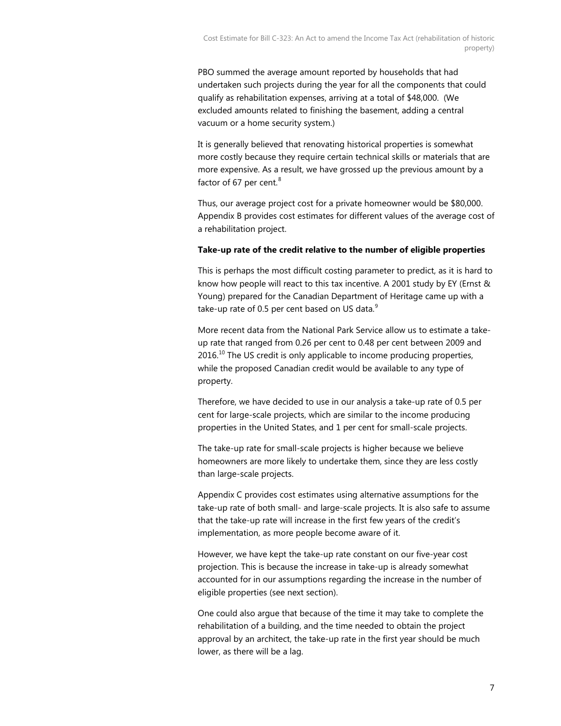PBO summed the average amount reported by households that had undertaken such projects during the year for all the components that could qualify as rehabilitation expenses, arriving at a total of \$48,000. (We excluded amounts related to finishing the basement, adding a central vacuum or a home security system.)

It is generally believed that renovating historical properties is somewhat more costly because they require certain technical skills or materials that are more expensive. As a result, we have grossed up the previous amount by a factor of 67 per cent. $^8$  $^8$ 

Thus, our average project cost for a private homeowner would be \$80,000. Appendix B provides cost estimates for different values of the average cost of a rehabilitation project.

### **Take-up rate of the credit relative to the number of eligible properties**

This is perhaps the most difficult costing parameter to predict, as it is hard to know how people will react to this tax incentive. A 2001 study by EY (Ernst & Young) prepared for the Canadian Department of Heritage came up with a take-up rate of 0.5 per cent based on US data. $9$ 

More recent data from the National Park Service allow us to estimate a takeup rate that ranged from 0.26 per cent to 0.48 per cent between 2009 and  $2016$ <sup>[10](#page-24-9)</sup> The US credit is only applicable to income producing properties, while the proposed Canadian credit would be available to any type of property.

Therefore, we have decided to use in our analysis a take-up rate of 0.5 per cent for large-scale projects, which are similar to the income producing properties in the United States, and 1 per cent for small-scale projects.

The take-up rate for small-scale projects is higher because we believe homeowners are more likely to undertake them, since they are less costly than large-scale projects.

Appendix C provides cost estimates using alternative assumptions for the take-up rate of both small- and large-scale projects. It is also safe to assume that the take-up rate will increase in the first few years of the credit's implementation, as more people become aware of it.

However, we have kept the take-up rate constant on our five-year cost projection. This is because the increase in take-up is already somewhat accounted for in our assumptions regarding the increase in the number of eligible properties (see next section).

One could also argue that because of the time it may take to complete the rehabilitation of a building, and the time needed to obtain the project approval by an architect, the take-up rate in the first year should be much lower, as there will be a lag.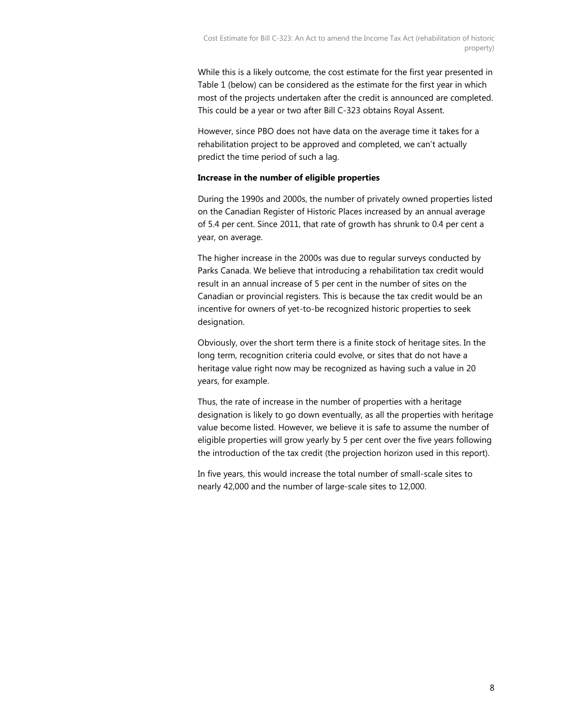While this is a likely outcome, the cost estimate for the first year presented in Table 1 (below) can be considered as the estimate for the first year in which most of the projects undertaken after the credit is announced are completed. This could be a year or two after Bill C-323 obtains Royal Assent.

However, since PBO does not have data on the average time it takes for a rehabilitation project to be approved and completed, we can't actually predict the time period of such a lag.

### **Increase in the number of eligible properties**

During the 1990s and 2000s, the number of privately owned properties listed on the Canadian Register of Historic Places increased by an annual average of 5.4 per cent. Since 2011, that rate of growth has shrunk to 0.4 per cent a year, on average.

The higher increase in the 2000s was due to regular surveys conducted by Parks Canada. We believe that introducing a rehabilitation tax credit would result in an annual increase of 5 per cent in the number of sites on the Canadian or provincial registers. This is because the tax credit would be an incentive for owners of yet-to-be recognized historic properties to seek designation.

Obviously, over the short term there is a finite stock of heritage sites. In the long term, recognition criteria could evolve, or sites that do not have a heritage value right now may be recognized as having such a value in 20 years, for example.

Thus, the rate of increase in the number of properties with a heritage designation is likely to go down eventually, as all the properties with heritage value become listed. However, we believe it is safe to assume the number of eligible properties will grow yearly by 5 per cent over the five years following the introduction of the tax credit (the projection horizon used in this report).

In five years, this would increase the total number of small-scale sites to nearly 42,000 and the number of large-scale sites to 12,000.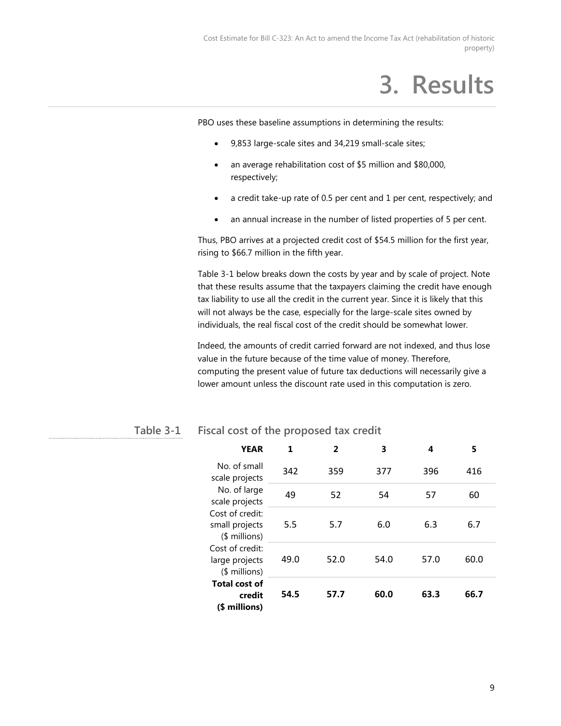## **3. Results**

<span id="page-11-0"></span>PBO uses these baseline assumptions in determining the results:

- 9,853 large-scale sites and 34,219 small-scale sites;
- an average rehabilitation cost of \$5 million and \$80,000, respectively;
- a credit take-up rate of 0.5 per cent and 1 per cent, respectively; and
- an annual increase in the number of listed properties of 5 per cent.

Thus, PBO arrives at a projected credit cost of \$54.5 million for the first year, rising to \$66.7 million in the fifth year.

Table 3-1 below breaks down the costs by year and by scale of project. Note that these results assume that the taxpayers claiming the credit have enough tax liability to use all the credit in the current year. Since it is likely that this will not always be the case, especially for the large-scale sites owned by individuals, the real fiscal cost of the credit should be somewhat lower.

Indeed, the amounts of credit carried forward are not indexed, and thus lose value in the future because of the time value of money. Therefore, computing the present value of future tax deductions will necessarily give a lower amount unless the discount rate used in this computation is zero.

| <b>YEAR</b>                                                                                              | 1    | 2    | 3    | 4    | 5    |
|----------------------------------------------------------------------------------------------------------|------|------|------|------|------|
| No. of small<br>scale projects                                                                           | 342  | 359  | 377  | 396  | 416  |
| No. of large<br>scale projects                                                                           | 49   | 52   | 54   | 57   | 60   |
| Cost of credit:<br>small projects<br>$$$ millions)<br>Cost of credit:<br>large projects<br>$$$ millions) | 5.5  | 5.7  | 6.0  | 6.3  | 6.7  |
|                                                                                                          | 49.0 | 52.0 | 54.0 | 57.0 | 60.0 |
| <b>Total cost of</b><br>credit<br>(\$ millions)                                                          | 54.5 | 57.7 | 60.0 | 63.3 | 66.7 |

#### **Fiscal cost of the proposed tax credit Table 3-1**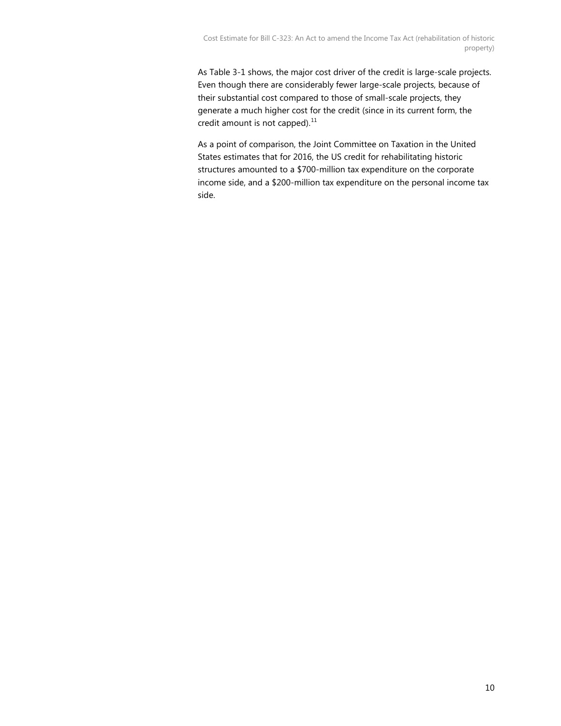As Table 3-1 shows, the major cost driver of the credit is large-scale projects. Even though there are considerably fewer large-scale projects, because of their substantial cost compared to those of small-scale projects, they generate a much higher cost for the credit (since in its current form, the credit amount is not capped). $^{11}$  $^{11}$  $^{11}$ 

As a point of comparison, the Joint Committee on Taxation in the United States estimates that for 2016, the US credit for rehabilitating historic structures amounted to a \$700-million tax expenditure on the corporate income side, and a \$200-million tax expenditure on the personal income tax side.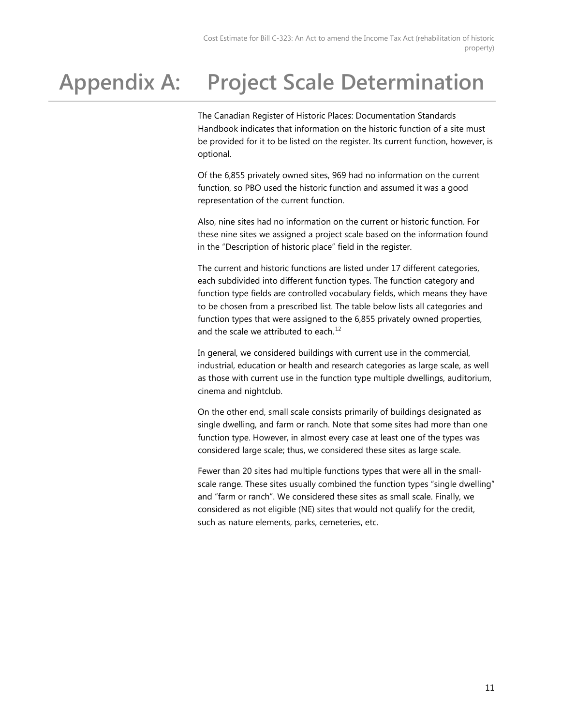### <span id="page-13-0"></span>**Appendix A: Project Scale Determination**

The Canadian Register of Historic Places: Documentation Standards Handbook indicates that information on the historic function of a site must be provided for it to be listed on the register. Its current function, however, is optional.

Of the 6,855 privately owned sites, 969 had no information on the current function, so PBO used the historic function and assumed it was a good representation of the current function.

Also, nine sites had no information on the current or historic function. For these nine sites we assigned a project scale based on the information found in the "Description of historic place" field in the register.

The current and historic functions are listed under 17 different categories, each subdivided into different function types. The function category and function type fields are controlled vocabulary fields, which means they have to be chosen from a prescribed list. The table below lists all categories and function types that were assigned to the 6,855 privately owned properties, and the scale we attributed to each. $^{12}$  $^{12}$  $^{12}$ 

In general, we considered buildings with current use in the commercial, industrial, education or health and research categories as large scale, as well as those with current use in the function type multiple dwellings, auditorium, cinema and nightclub.

On the other end, small scale consists primarily of buildings designated as single dwelling, and farm or ranch. Note that some sites had more than one function type. However, in almost every case at least one of the types was considered large scale; thus, we considered these sites as large scale.

Fewer than 20 sites had multiple functions types that were all in the smallscale range. These sites usually combined the function types "single dwelling" and "farm or ranch". We considered these sites as small scale. Finally, we considered as not eligible (NE) sites that would not qualify for the credit, such as nature elements, parks, cemeteries, etc.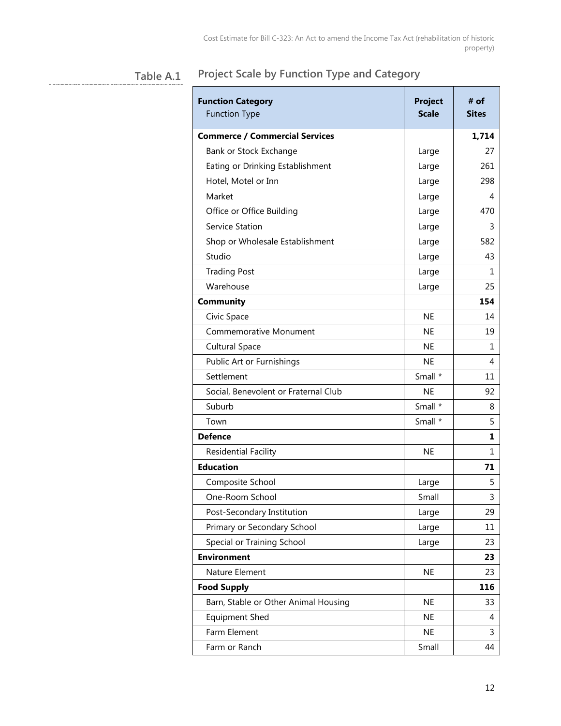#### **Project Scale by Function Type and Category Table A.1**

| <b>Function Category</b><br><b>Function Type</b> | <b>Project</b><br><b>Scale</b> | # of<br><b>Sites</b> |
|--------------------------------------------------|--------------------------------|----------------------|
| <b>Commerce / Commercial Services</b>            |                                | 1,714                |
| Bank or Stock Exchange                           | Large                          | 27                   |
| Eating or Drinking Establishment                 | Large                          | 261                  |
| Hotel, Motel or Inn                              | Large                          | 298                  |
| Market                                           | Large                          | 4                    |
| Office or Office Building                        | Large                          | 470                  |
| Service Station                                  | Large                          | 3                    |
| Shop or Wholesale Establishment                  | Large                          | 582                  |
| Studio                                           | Large                          | 43                   |
| <b>Trading Post</b>                              | Large                          | 1                    |
| Warehouse                                        | Large                          | 25                   |
| Community                                        |                                | 154                  |
| Civic Space                                      | <b>NE</b>                      | 14                   |
| Commemorative Monument                           | <b>NE</b>                      | 19                   |
| <b>Cultural Space</b>                            | <b>NE</b>                      | 1                    |
| Public Art or Furnishings                        | <b>NE</b>                      | 4                    |
| Settlement                                       | Small *                        | 11                   |
| Social, Benevolent or Fraternal Club             | <b>NE</b>                      | 92                   |
| Suburb                                           | Small *                        | 8                    |
| Town                                             | Small *                        | 5                    |
| <b>Defence</b>                                   |                                | 1                    |
| <b>Residential Facility</b>                      | <b>NE</b>                      | 1                    |
| <b>Education</b>                                 |                                | 71                   |
| Composite School                                 | Large                          | 5                    |
| One-Room School                                  | Small                          | 3                    |
| Post-Secondary Institution                       | Large                          | 29                   |
| Primary or Secondary School                      | Large                          | 11                   |
| Special or Training School                       | Large                          | 23                   |
| <b>Environment</b>                               |                                | 23                   |
| Nature Element                                   | <b>NE</b>                      | 23                   |
| <b>Food Supply</b>                               |                                | 116                  |
| Barn, Stable or Other Animal Housing             | <b>NE</b>                      | 33                   |
| Equipment Shed                                   | <b>NE</b>                      | 4                    |
| Farm Element                                     | <b>NE</b>                      | 3                    |
| Farm or Ranch                                    | Small                          | 44                   |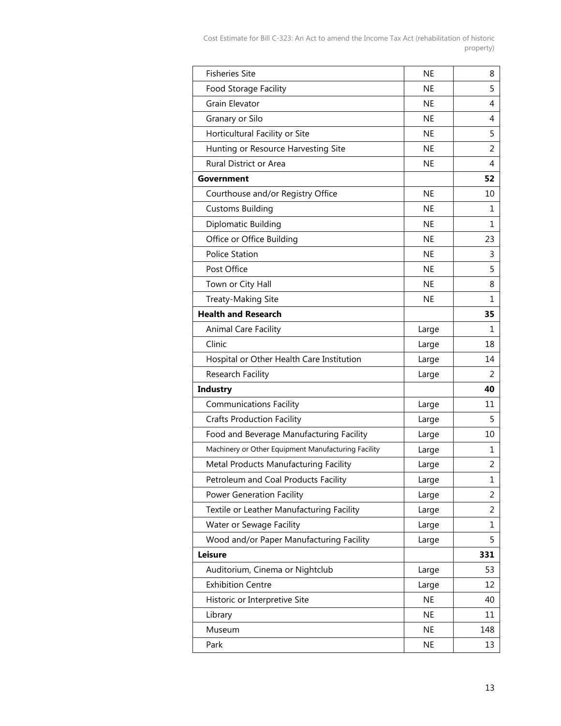| <b>Fisheries Site</b>                               | <b>NE</b> | 8              |
|-----------------------------------------------------|-----------|----------------|
| Food Storage Facility                               | <b>NE</b> | 5              |
| Grain Elevator                                      | <b>NE</b> | 4              |
| Granary or Silo                                     | <b>NE</b> | 4              |
| Horticultural Facility or Site                      | <b>NE</b> | 5              |
| Hunting or Resource Harvesting Site                 | <b>NE</b> | 2              |
| Rural District or Area                              | <b>NE</b> | 4              |
| Government                                          |           | 52             |
| Courthouse and/or Registry Office                   | <b>NE</b> | 10             |
| <b>Customs Building</b>                             | <b>NE</b> | 1              |
| Diplomatic Building                                 | <b>NE</b> | 1              |
| Office or Office Building                           | <b>NE</b> | 23             |
| <b>Police Station</b>                               | <b>NE</b> | 3              |
| Post Office                                         | <b>NE</b> | 5              |
| Town or City Hall                                   | <b>NE</b> | 8              |
| Treaty-Making Site                                  | <b>NE</b> | $\mathbf{1}$   |
| <b>Health and Research</b>                          |           | 35             |
| Animal Care Facility                                | Large     | 1              |
| Clinic                                              | Large     | 18             |
| Hospital or Other Health Care Institution           | Large     | 14             |
| Research Facility                                   | Large     | 2              |
| Industry                                            |           | 40             |
| <b>Communications Facility</b>                      | Large     | 11             |
| <b>Crafts Production Facility</b>                   | Large     | 5              |
| Food and Beverage Manufacturing Facility            | Large     | 10             |
| Machinery or Other Equipment Manufacturing Facility | Large     | 1              |
| Metal Products Manufacturing Facility               | Large     | 2              |
| Petroleum and Coal Products Facility                | Large     | $\mathbf 1$    |
| <b>Power Generation Facility</b>                    | Large     | $\overline{2}$ |
| Textile or Leather Manufacturing Facility           | Large     | 2              |
| Water or Sewage Facility                            | Large     | 1              |
| Wood and/or Paper Manufacturing Facility            | Large     | 5              |
| <b>Leisure</b>                                      |           | 331            |
| Auditorium, Cinema or Nightclub                     | Large     | 53             |
| <b>Exhibition Centre</b>                            | Large     | 12             |
| Historic or Interpretive Site                       | <b>NE</b> | 40             |
| Library                                             | <b>NE</b> | 11             |
| Museum                                              | <b>NE</b> | 148            |
| Park                                                | NE.       | 13             |
|                                                     |           |                |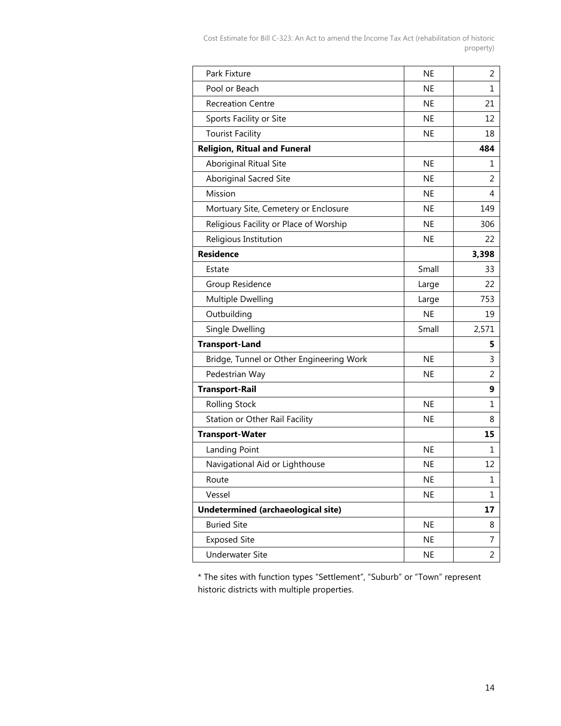<span id="page-16-0"></span>

| Park Fixture                             | <b>NE</b> | $\overline{2}$ |
|------------------------------------------|-----------|----------------|
| Pool or Beach                            | <b>NE</b> | 1              |
| <b>Recreation Centre</b>                 | <b>NE</b> | 21             |
| Sports Facility or Site                  | <b>NE</b> | 12             |
| <b>Tourist Facility</b>                  | <b>NE</b> | 18             |
| <b>Religion, Ritual and Funeral</b>      |           | 484            |
| <b>Aboriginal Ritual Site</b>            | <b>NE</b> | 1              |
| Aboriginal Sacred Site                   | <b>NE</b> | 2              |
| Mission                                  | <b>NE</b> | 4              |
| Mortuary Site, Cemetery or Enclosure     | <b>NE</b> | 149            |
| Religious Facility or Place of Worship   | <b>NE</b> | 306            |
| Religious Institution                    | <b>NE</b> | 22             |
| <b>Residence</b>                         |           | 3,398          |
| Estate                                   | Small     | 33             |
| Group Residence                          | Large     | 22             |
| Multiple Dwelling                        | Large     | 753            |
| Outbuilding                              | <b>NE</b> | 19             |
| Single Dwelling                          | Small     | 2,571          |
| <b>Transport-Land</b>                    |           | 5              |
| Bridge, Tunnel or Other Engineering Work | <b>NE</b> | 3              |
| Pedestrian Way                           | <b>NE</b> | $\overline{2}$ |
| <b>Transport-Rail</b>                    |           | 9              |
| <b>Rolling Stock</b>                     | <b>NE</b> | 1              |
| Station or Other Rail Facility           | <b>NE</b> | 8              |
| <b>Transport-Water</b>                   |           | 15             |
| Landing Point                            | <b>NE</b> | 1              |
| Navigational Aid or Lighthouse           | <b>NE</b> | 12             |
| Route                                    | <b>NE</b> | 1              |
| Vessel                                   | <b>NE</b> | 1              |
| Undetermined (archaeological site)       |           | 17             |
| <b>Buried Site</b>                       | <b>NE</b> | 8              |
| <b>Exposed Site</b>                      | <b>NE</b> | 7              |
| <b>Underwater Site</b>                   | <b>NE</b> | 2              |
|                                          |           |                |

\* The sites with function types "Settlement", "Suburb" or "Town" represent historic districts with multiple properties.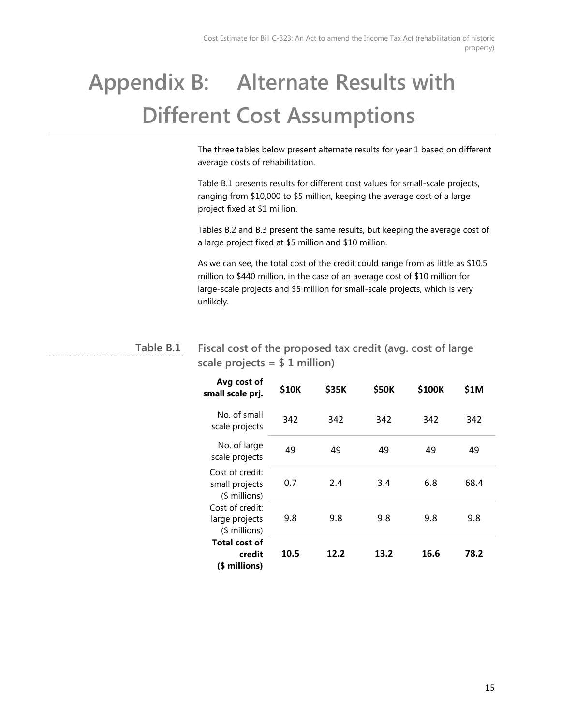## **Appendix B: Alternate Results with Different Cost Assumptions**

The three tables below present alternate results for year 1 based on different average costs of rehabilitation.

Table B.1 presents results for different cost values for small-scale projects, ranging from \$10,000 to \$5 million, keeping the average cost of a large project fixed at \$1 million.

Tables B.2 and B.3 present the same results, but keeping the average cost of a large project fixed at \$5 million and \$10 million.

As we can see, the total cost of the credit could range from as little as \$10.5 million to \$440 million, in the case of an average cost of \$10 million for large-scale projects and \$5 million for small-scale projects, which is very unlikely.

#### **Fiscal cost of the proposed tax credit (avg. cost of large scale projects = \$ 1 million) Table B.1**

| Avg cost of<br>small scale prj.                                                                          | \$10K | \$35K | \$50K | \$100K | \$1M |
|----------------------------------------------------------------------------------------------------------|-------|-------|-------|--------|------|
| No. of small<br>scale projects                                                                           | 342   | 342   | 342   | 342    | 342  |
| No. of large<br>scale projects                                                                           | 49    | 49    | 49    | 49     | 49   |
| Cost of credit:<br>small projects<br>(\$ millions)<br>Cost of credit:<br>large projects<br>$$$ millions) | 0.7   | 2.4   | 3.4   | 6.8    | 68.4 |
|                                                                                                          | 9.8   | 9.8   | 9.8   | 9.8    | 9.8  |
| Total cost of<br>credit<br>(\$ millions)                                                                 | 10.5  | 12.2  | 13.2  | 16.6   | 78.2 |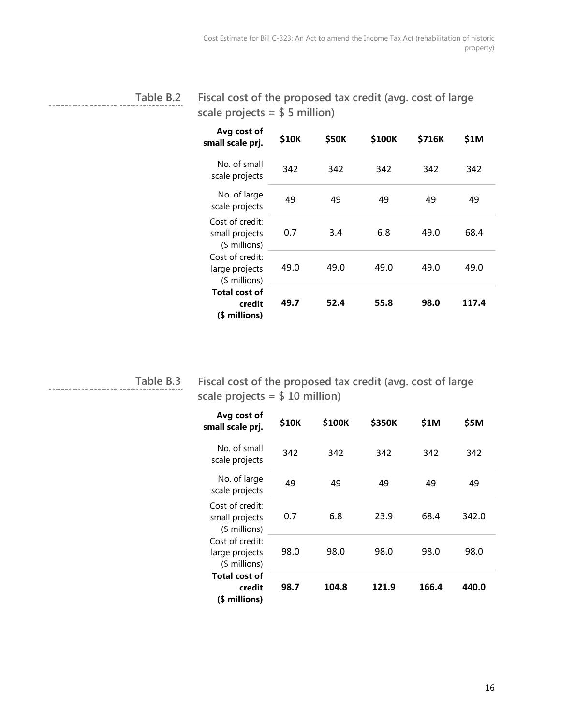#### **Fiscal cost of the proposed tax credit (avg. cost of large scale projects = \$ 5 million) Table B.2**

| Avg cost of<br>small scale prj.                                                                                                                                | \$10K | <b>\$50K</b> | \$100K | \$716K | \$1M  |
|----------------------------------------------------------------------------------------------------------------------------------------------------------------|-------|--------------|--------|--------|-------|
| No. of small<br>scale projects                                                                                                                                 | 342   | 342          | 342    | 342    | 342   |
| No. of large<br>scale projects                                                                                                                                 | 49    | 49           | 49     | 49     | 49    |
| Cost of credit:<br>small projects<br>$$$ millions)<br>Cost of credit:<br>large projects<br>$$$ millions)<br><b>Total cost of</b><br>credit<br>millions)<br>(\$ | 0.7   | 3.4          | 6.8    | 49.0   | 68.4  |
|                                                                                                                                                                | 49.0  | 49.0         | 49.0   | 49.0   | 49.0  |
|                                                                                                                                                                | 49.7  | 52.4         | 55.8   | 98.0   | 117.4 |

**Table B.3**

**Fiscal cost of the proposed tax credit (avg. cost of large scale projects = \$ 10 million)**

| Avg cost of<br>small scale prj.                    | \$10K | \$100K | \$350K | \$1M  | \$5M  |
|----------------------------------------------------|-------|--------|--------|-------|-------|
| No. of small<br>scale projects                     | 342   | 342    | 342    | 342   | 342   |
| No. of large<br>scale projects                     | 49    | 49     | 49     | 49    | 49    |
| Cost of credit:<br>small projects<br>$$$ millions) | 0.7   | 6.8    | 23.9   | 68.4  | 342.0 |
| Cost of credit:<br>large projects<br>$$$ millions) | 98.0  | 98.0   | 98.0   | 98.0  | 98.0  |
| <b>Total cost of</b><br>credit<br>millions)<br>(S  | 98.7  | 104.8  | 121.9  | 166.4 | 440.0 |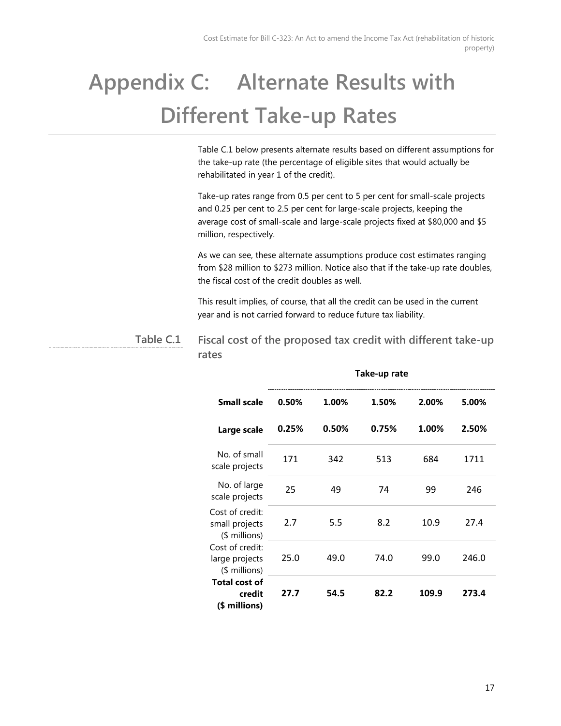## <span id="page-19-0"></span>**Appendix C: Alternate Results with Different Take-up Rates**

Table C.1 below presents alternate results based on different assumptions for the take-up rate (the percentage of eligible sites that would actually be rehabilitated in year 1 of the credit).

Take-up rates range from 0.5 per cent to 5 per cent for small-scale projects and 0.25 per cent to 2.5 per cent for large-scale projects, keeping the average cost of small-scale and large-scale projects fixed at \$80,000 and \$5 million, respectively.

As we can see, these alternate assumptions produce cost estimates ranging from \$28 million to \$273 million. Notice also that if the take-up rate doubles, the fiscal cost of the credit doubles as well.

This result implies, of course, that all the credit can be used in the current year and is not carried forward to reduce future tax liability.

**Fiscal cost of the proposed tax credit with different take-up rates Table C.1**

|                                                    | Take-up rate |       |       |       |       |  |
|----------------------------------------------------|--------------|-------|-------|-------|-------|--|
| <b>Small scale</b>                                 | 0.50%        | 1.00% | 1.50% | 2.00% | 5.00% |  |
| Large scale                                        | 0.25%        | 0.50% | 0.75% | 1.00% | 2.50% |  |
| No. of small<br>scale projects                     | 171          | 342   | 513   | 684   | 1711  |  |
| No. of large<br>scale projects                     | 25           | 49    | 74    | 99    | 246   |  |
| Cost of credit:<br>small projects<br>(\$ millions) | 2.7          | 5.5   | 8.2   | 10.9  | 27.4  |  |
| Cost of credit:<br>large projects<br>(\$ millions) | 25.0         | 49.0  | 74.0  | 99.0  | 246.0 |  |
| <b>Total cost of</b><br>credit<br>(\$ millions)    | 27.7         | 54.5  | 82.2  | 109.9 | 273.4 |  |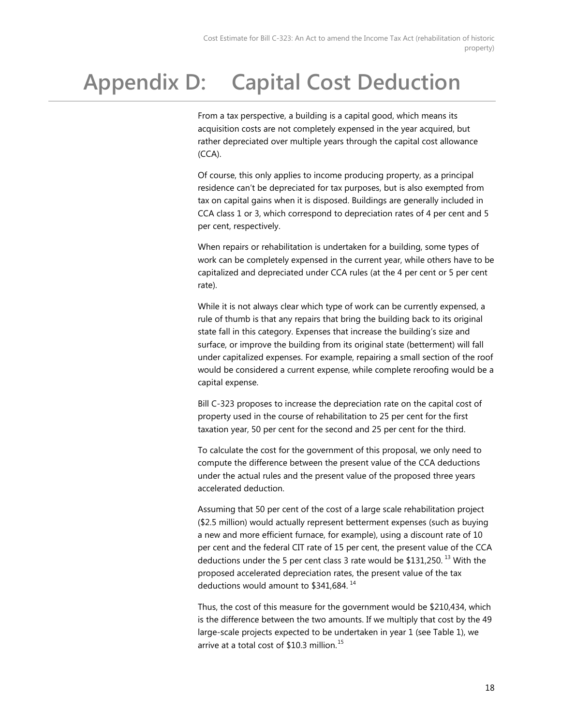### <span id="page-20-0"></span>**Appendix D: Capital Cost Deduction**

From a tax perspective, a building is a capital good, which means its acquisition costs are not completely expensed in the year acquired, but rather depreciated over multiple years through the capital cost allowance (CCA).

Of course, this only applies to income producing property, as a principal residence can't be depreciated for tax purposes, but is also exempted from tax on capital gains when it is disposed. Buildings are generally included in CCA class 1 or 3, which correspond to depreciation rates of 4 per cent and 5 per cent, respectively.

When repairs or rehabilitation is undertaken for a building, some types of work can be completely expensed in the current year, while others have to be capitalized and depreciated under CCA rules (at the 4 per cent or 5 per cent rate).

While it is not always clear which type of work can be currently expensed, a rule of thumb is that any repairs that bring the building back to its original state fall in this category. Expenses that increase the building's size and surface, or improve the building from its original state (betterment) will fall under capitalized expenses. For example, repairing a small section of the roof would be considered a current expense, while complete reroofing would be a capital expense.

Bill C-323 proposes to increase the depreciation rate on the capital cost of property used in the course of rehabilitation to 25 per cent for the first taxation year, 50 per cent for the second and 25 per cent for the third.

To calculate the cost for the government of this proposal, we only need to compute the difference between the present value of the CCA deductions under the actual rules and the present value of the proposed three years accelerated deduction.

Assuming that 50 per cent of the cost of a large scale rehabilitation project (\$2.5 million) would actually represent betterment expenses (such as buying a new and more efficient furnace, for example), using a discount rate of 10 per cent and the federal CIT rate of 15 per cent, the present value of the CCA deductions under the 5 per cent class 3 rate would be  $$131,250$  $$131,250$  $$131,250$ .<sup>13</sup> With the proposed accelerated depreciation rates, the present value of the tax deductions would amount to \$341,684.<sup>[14](#page-24-13)</sup>

Thus, the cost of this measure for the government would be \$210,434, which is the difference between the two amounts. If we multiply that cost by the 49 large-scale projects expected to be undertaken in year 1 (see Table 1), we arrive at a total cost of \$10.3 million.<sup>[15](#page-24-14)</sup>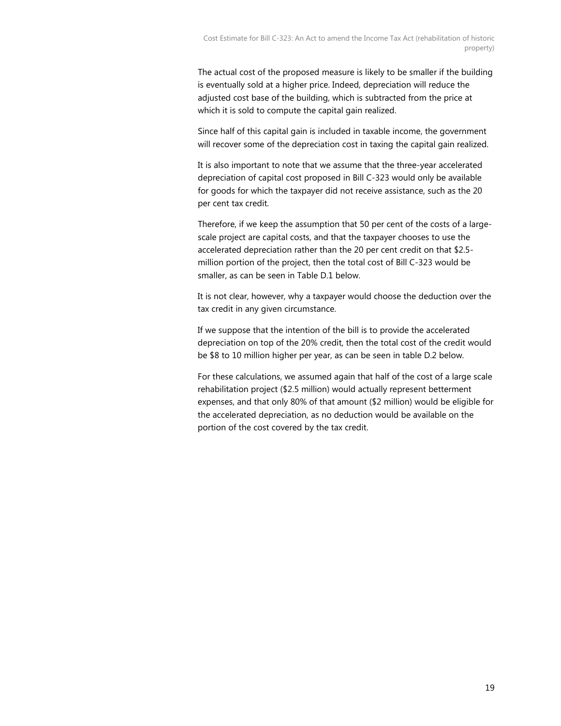The actual cost of the proposed measure is likely to be smaller if the building is eventually sold at a higher price. Indeed, depreciation will reduce the adjusted cost base of the building, which is subtracted from the price at which it is sold to compute the capital gain realized.

Since half of this capital gain is included in taxable income, the government will recover some of the depreciation cost in taxing the capital gain realized.

It is also important to note that we assume that the three-year accelerated depreciation of capital cost proposed in Bill C-323 would only be available for goods for which the taxpayer did not receive assistance, such as the 20 per cent tax credit.

Therefore, if we keep the assumption that 50 per cent of the costs of a largescale project are capital costs, and that the taxpayer chooses to use the accelerated depreciation rather than the 20 per cent credit on that \$2.5 million portion of the project, then the total cost of Bill C-323 would be smaller, as can be seen in Table D.1 below.

It is not clear, however, why a taxpayer would choose the deduction over the tax credit in any given circumstance.

If we suppose that the intention of the bill is to provide the accelerated depreciation on top of the 20% credit, then the total cost of the credit would be \$8 to 10 million higher per year, as can be seen in table D.2 below.

For these calculations, we assumed again that half of the cost of a large scale rehabilitation project (\$2.5 million) would actually represent betterment expenses, and that only 80% of that amount (\$2 million) would be eligible for the accelerated depreciation, as no deduction would be available on the portion of the cost covered by the tax credit.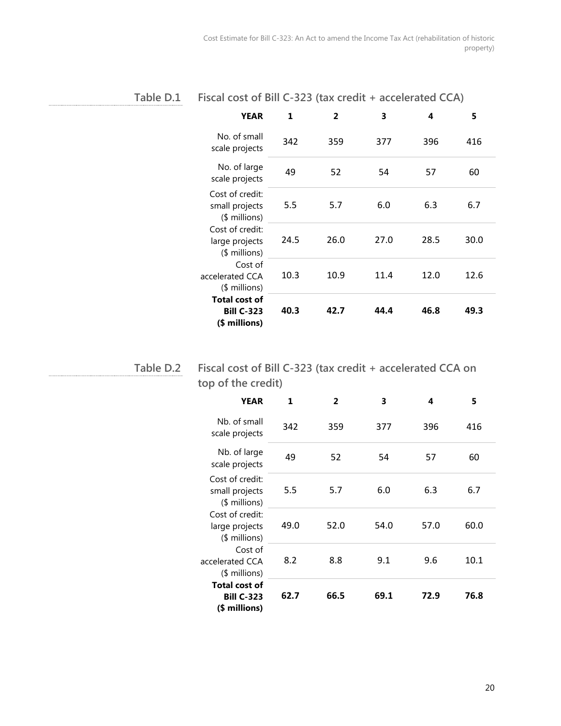| Fable. |  |  |
|--------|--|--|
|--------|--|--|

| D.1 | Fiscal cost of Bill C-323 (tax credit + accelerated CCA) |  |
|-----|----------------------------------------------------------|--|
|     |                                                          |  |

| YEAR                                                       | 1    | 2    | 3    | 4    | 5    |
|------------------------------------------------------------|------|------|------|------|------|
| No. of small<br>scale projects                             | 342  | 359  | 377  | 396  | 416  |
| No. of large<br>scale projects                             | 49   | 52   | 54   | 57   | 60   |
| Cost of credit:<br>small projects<br>(\$ millions)         | 5.5  | 5.7  | 6.0  | 6.3  | 6.7  |
| Cost of credit:<br>large projects<br>$$$ millions)         | 24.5 | 26.0 | 27.0 | 28.5 | 30.0 |
| Cost of<br>accelerated CCA<br>$$$ millions)                | 10.3 | 10.9 | 11.4 | 12.0 | 12.6 |
| <b>Total cost of</b><br><b>Bill C-323</b><br>(\$ millions) | 40.3 | 42.7 | 44.4 | 46.8 | 49.3 |

**Table D.2**

**Fiscal cost of Bill C-323 (tax credit + accelerated CCA on top of the credit)**

| YEAR                                                       | 1    | $\overline{2}$ | 3    | 4    | 5    |
|------------------------------------------------------------|------|----------------|------|------|------|
| Nh. of small<br>scale projects                             | 342  | 359            | 377  | 396  | 416  |
| Nb. of large<br>scale projects                             | 49   | 52             | 54   | 57   | 60   |
| Cost of credit:<br>small projects<br>$$$ millions)         | 5.5  | 5.7            | 6.0  | 6.3  | 6.7  |
| Cost of credit:<br>large projects<br>$$$ millions)         | 49.0 | 52.0           | 54.0 | 57.0 | 60.0 |
| Cost of<br>accelerated CCA<br>(\$ millions)                | 8.2  | 8.8            | 9.1  | 9.6  | 10.1 |
| <b>Total cost of</b><br><b>Bill C-323</b><br>(\$ millions) | 62.7 | 66.5           | 69.1 | 72.9 | 76.8 |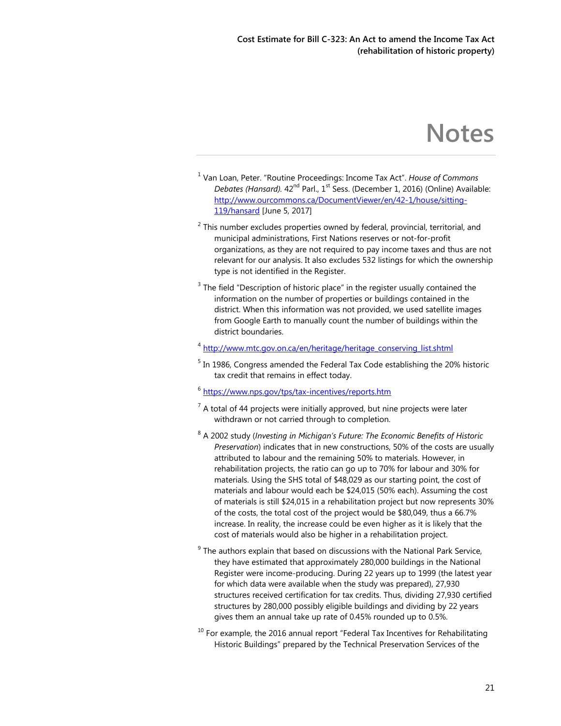### **Notes**

- <span id="page-23-0"></span><sup>1</sup> Van Loan, Peter. "Routine Proceedings: Income Tax Act". *House of Commons Debates (Hansard).* 42<sup>nd</sup> Parl., 1<sup>st</sup> Sess. (December 1, 2016) (Online) Available: [http://www.ourcommons.ca/DocumentViewer/en/42-1/house/sitting-](http://www.ourcommons.ca/DocumentViewer/en/42-1/house/sitting-119/hansard)[119/hansard](http://www.ourcommons.ca/DocumentViewer/en/42-1/house/sitting-119/hansard) [June 5, 2017]
- $2$  This number excludes properties owned by federal, provincial, territorial, and municipal administrations, First Nations reserves or not-for-profit organizations, as they are not required to pay income taxes and thus are not relevant for our analysis. It also excludes 532 listings for which the ownership type is not identified in the Register.
- $3$  The field "Description of historic place" in the register usually contained the information on the number of properties or buildings contained in the district. When this information was not provided, we used satellite images from Google Earth to manually count the number of buildings within the district boundaries.

<sup>4</sup> [http://www.mtc.gov.on.ca/en/heritage/heritage\\_conserving\\_list.shtml](http://www.mtc.gov.on.ca/en/heritage/heritage_conserving_list.shtml)

- $5$  In 1986, Congress amended the Federal Tax Code establishing the 20% historic tax credit that remains in effect today.
- <sup>6</sup> <https://www.nps.gov/tps/tax-incentives/reports.htm>
- $7$  A total of 44 projects were initially approved, but nine projects were later withdrawn or not carried through to completion.
- <sup>8</sup> A 2002 study (*Investing in Michigan's Future: The Economic Benefits of Historic Preservation*) indicates that in new constructions, 50% of the costs are usually attributed to labour and the remaining 50% to materials. However, in rehabilitation projects, the ratio can go up to 70% for labour and 30% for materials. Using the SHS total of \$48,029 as our starting point, the cost of materials and labour would each be \$24,015 (50% each). Assuming the cost of materials is still \$24,015 in a rehabilitation project but now represents 30% of the costs, the total cost of the project would be \$80,049, thus a 66.7% increase. In reality, the increase could be even higher as it is likely that the cost of materials would also be higher in a rehabilitation project.
- $9$  The authors explain that based on discussions with the National Park Service, they have estimated that approximately 280,000 buildings in the National Register were income-producing. During 22 years up to 1999 (the latest year for which data were available when the study was prepared), 27,930 structures received certification for tax credits. Thus, dividing 27,930 certified structures by 280,000 possibly eligible buildings and dividing by 22 years gives them an annual take up rate of 0.45% rounded up to 0.5%.
- $10$  For example, the 2016 annual report "Federal Tax Incentives for Rehabilitating Historic Buildings" prepared by the Technical Preservation Services of the